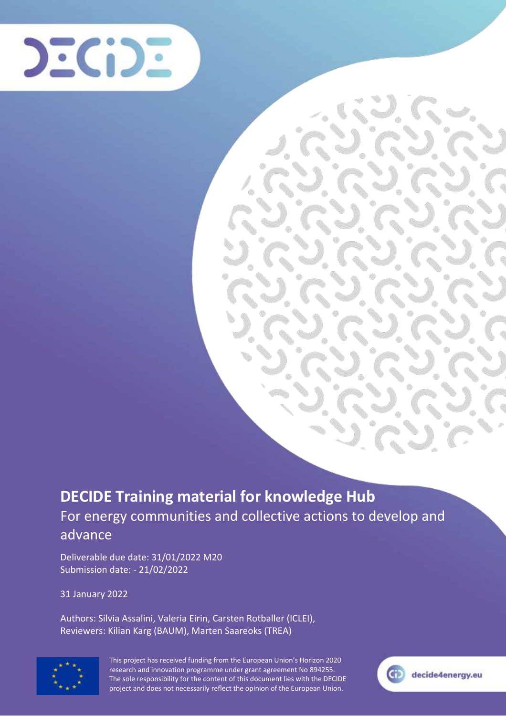

## **DECIDE Training material for knowledge Hub** For energy communities and collective actions to develop and advance

Deliverable due date: 31/01/2022 M20 Submission date: - 21/02/2022

31 January 2022

Authors: Silvia Assalini, Valeria Eirin, Carsten Rotballer (ICLEI), Reviewers: Kilian Karg (BAUM), Marten Saareoks (TREA)



This project has received funding from the European Union's Horizon 2020 research and innovation programme under grant agreement No 894255. The sole responsibility for the content of this document lies with the DECIDE project and does not necessarily reflect the opinion of the European Union.

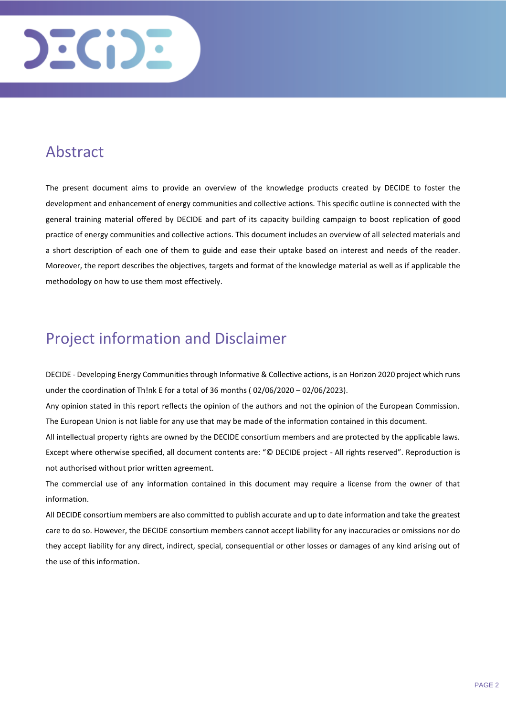

## <span id="page-1-0"></span>Abstract

The present document aims to provide an overview of the knowledge products created by DECIDE to foster the development and enhancement of energy communities and collective actions. This specific outline is connected with the general training material offered by DECIDE and part of its capacity building campaign to boost replication of good practice of energy communities and collective actions. This document includes an overview of all selected materials and a short description of each one of them to guide and ease their uptake based on interest and needs of the reader. Moreover, the report describes the objectives, targets and format of the knowledge material as well as if applicable the methodology on how to use them most effectively.

### <span id="page-1-1"></span>Project information and Disclaimer

DECIDE - Developing Energy Communities through Informative & Collective actions, is an Horizon 2020 project which runs under the coordination of Th!nk E for a total of 36 months ( 02/06/2020 – 02/06/2023).

Any opinion stated in this report reflects the opinion of the authors and not the opinion of the European Commission. The European Union is not liable for any use that may be made of the information contained in this document.

All intellectual property rights are owned by the DECIDE consortium members and are protected by the applicable laws. Except where otherwise specified, all document contents are: "© DECIDE project - All rights reserved". Reproduction is not authorised without prior written agreement.

The commercial use of any information contained in this document may require a license from the owner of that information.

All DECIDE consortium members are also committed to publish accurate and up to date information and take the greatest care to do so. However, the DECIDE consortium members cannot accept liability for any inaccuracies or omissions nor do they accept liability for any direct, indirect, special, consequential or other losses or damages of any kind arising out of the use of this information.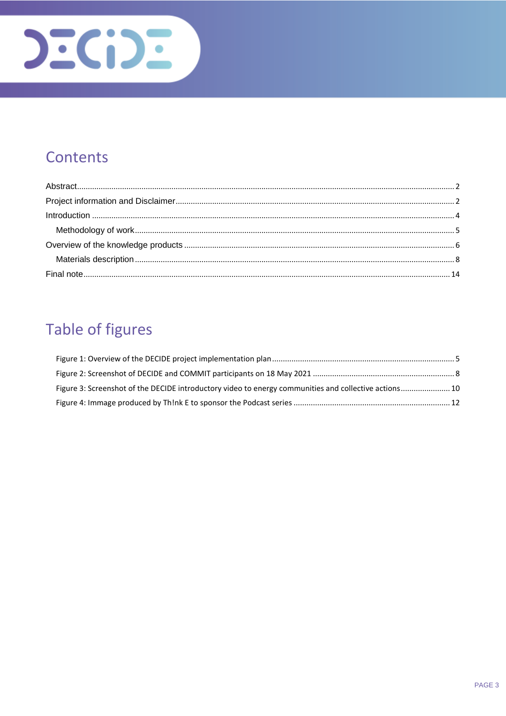

## Contents

## **Table of figures**

| Figure 3: Screenshot of the DECIDE introductory video to energy communities and collective actions 10 |  |
|-------------------------------------------------------------------------------------------------------|--|
|                                                                                                       |  |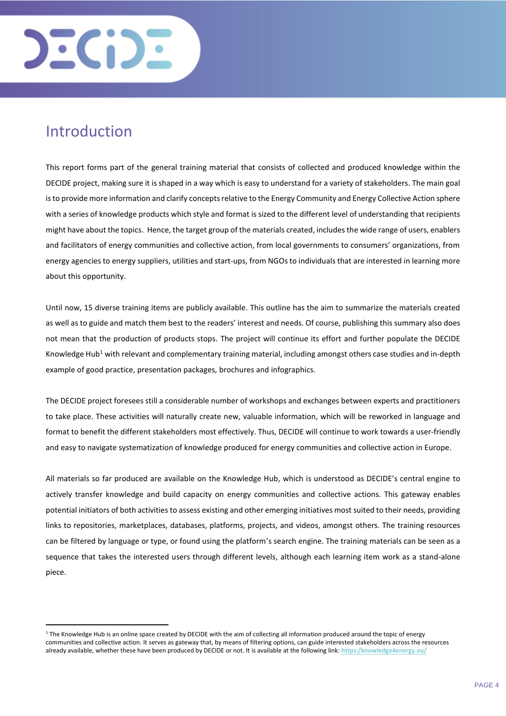

### <span id="page-3-0"></span>Introduction

 $\overline{a}$ 

This report forms part of the general training material that consists of collected and produced knowledge within the DECIDE project, making sure it is shaped in a way which is easy to understand for a variety of stakeholders. The main goal is to provide more information and clarify concepts relative to the Energy Community and Energy Collective Action sphere with a series of knowledge products which style and format is sized to the different level of understanding that recipients might have about the topics. Hence, the target group of the materials created, includes the wide range of users, enablers and facilitators of energy communities and collective action, from local governments to consumers' organizations, from energy agencies to energy suppliers, utilities and start-ups, from NGOs to individuals that are interested in learning more about this opportunity.

Until now, 15 diverse training items are publicly available. This outline has the aim to summarize the materials created as well as to guide and match them best to the readers' interest and needs. Of course, publishing this summary also does not mean that the production of products stops. The project will continue its effort and further populate the DECIDE Knowledge Hub<sup>1</sup> with relevant and complementary training material, including amongst others case studies and in-depth example of good practice, presentation packages, brochures and infographics.

The DECIDE project foresees still a considerable number of workshops and exchanges between experts and practitioners to take place. These activities will naturally create new, valuable information, which will be reworked in language and format to benefit the different stakeholders most effectively. Thus, DECIDE will continue to work towards a user-friendly and easy to navigate systematization of knowledge produced for energy communities and collective action in Europe.

All materials so far produced are available on the Knowledge Hub, which is understood as DECIDE's central engine to actively transfer knowledge and build capacity on energy communities and collective actions. This gateway enables potential initiators of both activities to assess existing and other emerging initiatives most suited to their needs, providing links to repositories, marketplaces, databases, platforms, projects, and videos, amongst others. The training resources can be filtered by language or type, or found using the platform's search engine. The training materials can be seen as a sequence that takes the interested users through different levels, although each learning item work as a stand-alone piece.

<sup>&</sup>lt;sup>1</sup> The Knowledge Hub is an online space created by DECIDE with the aim of collecting all information produced around the topic of energy communities and collective action. It serves as gateway that, by means of filtering options, can guide interested stakeholders across the resources already available, whether these have been produced by DECIDE or not. It is available at the following link: **[https:/knowledge4energy.eu/](https://knowledge4energy.eu/)**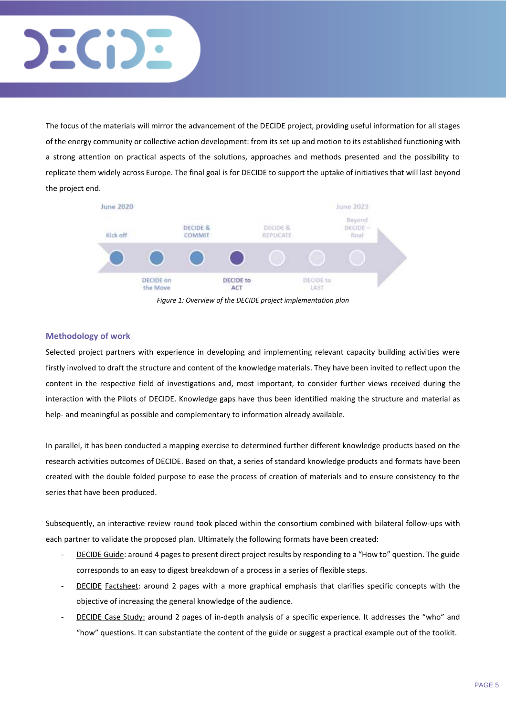

The focus of the materials will mirror the advancement of the DECIDE project, providing useful information for all stages of the energy community or collective action development: from its set up and motion to its established functioning with a strong attention on practical aspects of the solutions, approaches and methods presented and the possibility to replicate them widely across Europe. The final goal is for DECIDE to support the uptake of initiatives that will last beyond the project end.



*Figure 1: Overview of the DECIDE project implementation plan*

#### <span id="page-4-1"></span><span id="page-4-0"></span>**Methodology of work**

Selected project partners with experience in developing and implementing relevant capacity building activities were firstly involved to draft the structure and content of the knowledge materials. They have been invited to reflect upon the content in the respective field of investigations and, most important, to consider further views received during the interaction with the Pilots of DECIDE. Knowledge gaps have thus been identified making the structure and material as help- and meaningful as possible and complementary to information already available.

In parallel, it has been conducted a mapping exercise to determined further different knowledge products based on the research activities outcomes of DECIDE. Based on that, a series of standard knowledge products and formats have been created with the double folded purpose to ease the process of creation of materials and to ensure consistency to the series that have been produced.

Subsequently, an interactive review round took placed within the consortium combined with bilateral follow-ups with each partner to validate the proposed plan. Ultimately the following formats have been created:

- DECIDE Guide: around 4 pages to present direct project results by responding to a "How to" question. The guide corresponds to an easy to digest breakdown of a process in a series of flexible steps.
- DECIDE Factsheet: around 2 pages with a more graphical emphasis that clarifies specific concepts with the objective of increasing the general knowledge of the audience.
- DECIDE Case Study: around 2 pages of in-depth analysis of a specific experience. It addresses the "who" and "how" questions. It can substantiate the content of the guide or suggest a practical example out of the toolkit.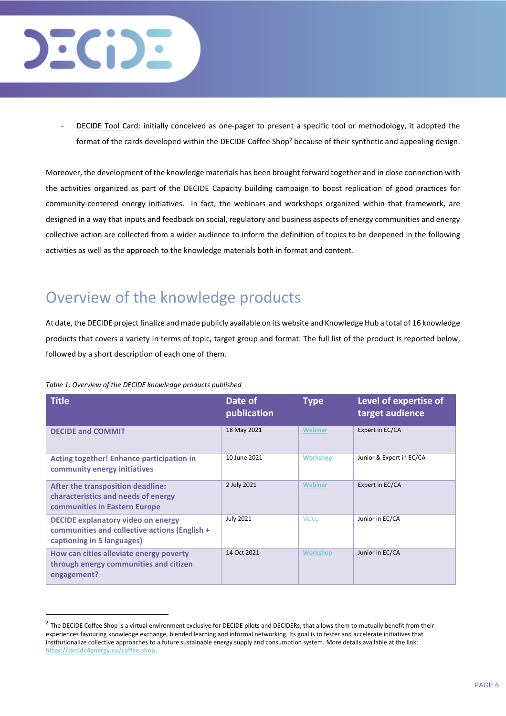

DECIDE Tool Card: initially conceived as one-pager to present a specific tool or methodology, it adopted the format of the cards developed within the DECIDE Coffee Shop<sup>2</sup> because of their synthetic and appealing design.

Moreover, the development of the knowledge materials has been brought forward together and in close connection with the activities organized as part of the DECIDE Capacity building campaign to boost replication of good practices for community-centered energy initiatives. In fact, the webinars and workshops organized within that framework, are designed in a way that inputs and feedback on social, regulatory and business aspects of energy communities and energy collective action are collected from a wider audience to inform the definition of topics to be deepened in the following activities as well as the approach to the knowledge materials both in format and content.

## <span id="page-5-0"></span>Overview of the knowledge products

At date, the DECIDE project finalize and made publicly available on its website and Knowledge Hub a total of 16 knowledge products that covers a variety in terms of topic, target group and format. The full list of the product is reported below, followed by a short description of each one of them.

|  |  | Table 1: Overview of the DECIDE knowledge products published |  |
|--|--|--------------------------------------------------------------|--|
|  |  |                                                              |  |

l

| <b>Title</b>                                                                                                             | Date of<br>publication | <b>Type</b>     | Level of expertise of<br>target audience |
|--------------------------------------------------------------------------------------------------------------------------|------------------------|-----------------|------------------------------------------|
| <b>DECIDE and COMMIT</b>                                                                                                 | 18 May 2021            | <b>Webinar</b>  | Expert in EC/CA                          |
| <b>Acting together! Enhance participation in</b><br>community energy initiatives                                         | 10 June 2021           | <b>Workshop</b> | Junior & Expert in EC/CA                 |
| After the transposition deadline:<br>characteristics and needs of energy<br>communities in Eastern Europe                | 2 July 2021            | <b>Webinar</b>  | Expert in EC/CA                          |
| <b>DECIDE explanatory video on energy</b><br>communities and collective actions (English +<br>captioning in 5 languages) | <b>July 2021</b>       | Video           | Junior in EC/CA                          |
| How can cities alleviate energy poverty<br>through energy communities and citizen<br>engagement?                         | 14 Oct 2021            | <b>Workshop</b> | Junior in EC/CA                          |

 $^2$  The DECIDE Coffee Shop is a virtual environment exclusive for DECIDE pilots and DECIDERs, that allows them to mutually benefit from their experiences favouring knowledge exchange, blended learning and informal networking. Its goal is to fester and accelerate initiatives that institutionalize collective approaches to a future sustainable energy supply and consumption system. More details available at the link: **<https://decide4energy.eu/coffee-shop>**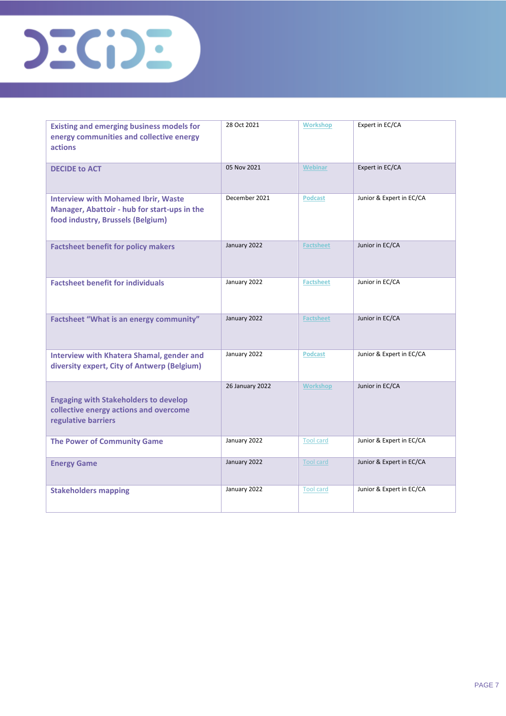

| <b>Existing and emerging business models for</b><br>energy communities and collective energy<br><b>actions</b>                  | 28 Oct 2021     | <b>Workshop</b>  | Expert in EC/CA          |
|---------------------------------------------------------------------------------------------------------------------------------|-----------------|------------------|--------------------------|
| <b>DECIDE to ACT</b>                                                                                                            | 05 Nov 2021     | Webinar          | Expert in EC/CA          |
| <b>Interview with Mohamed Ibrir, Waste</b><br>Manager, Abattoir - hub for start-ups in the<br>food industry, Brussels (Belgium) | December 2021   | <b>Podcast</b>   | Junior & Expert in EC/CA |
| <b>Factsheet benefit for policy makers</b>                                                                                      | January 2022    | <b>Factsheet</b> | Junior in EC/CA          |
| <b>Factsheet benefit for individuals</b>                                                                                        | January 2022    | <b>Factsheet</b> | Junior in EC/CA          |
| Factsheet "What is an energy community"                                                                                         | January 2022    | <b>Factsheet</b> | Junior in EC/CA          |
| <b>Interview with Khatera Shamal, gender and</b><br>diversity expert, City of Antwerp (Belgium)                                 | January 2022    | <b>Podcast</b>   | Junior & Expert in EC/CA |
| <b>Engaging with Stakeholders to develop</b><br>collective energy actions and overcome<br>regulative barriers                   | 26 January 2022 | Workshop         | Junior in EC/CA          |
| <b>The Power of Community Game</b>                                                                                              | January 2022    | <b>Tool card</b> | Junior & Expert in EC/CA |
| <b>Energy Game</b>                                                                                                              | January 2022    | Tool card        | Junior & Expert in EC/CA |
| <b>Stakeholders mapping</b>                                                                                                     | January 2022    | <b>Tool card</b> | Junior & Expert in EC/CA |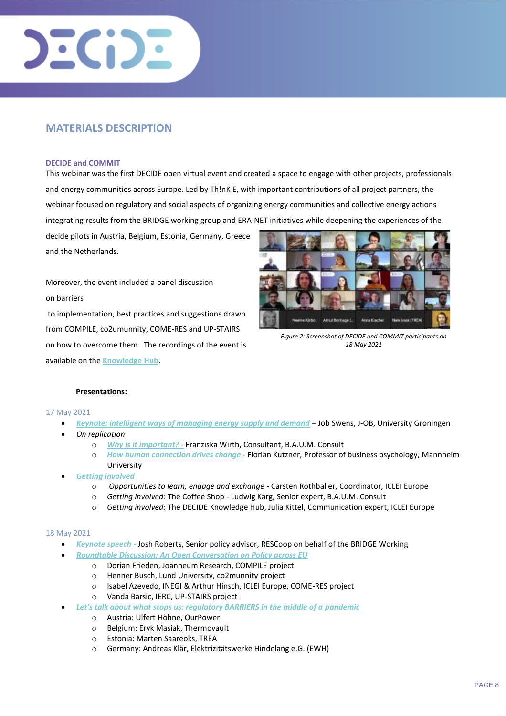

#### <span id="page-7-0"></span>**MATERIALS DESCRIPTION**

#### **DECIDE and COMMIT**

This webinar was the first DECIDE open virtual event and created a space to engage with other projects, professionals and energy communities across Europe. Led by Th!nK E, with important contributions of all project partners, the webinar focused on regulatory and social aspects of organizing energy communities and collective energy actions integrating results from the [BRIDGE](https://www.h2020-bridge.eu/) working group an[d ERA-NET](https://www.eranet-smartenergysystems.eu/) initiatives while deepening the experiences of the

decide pilots in Austria, Belgium, Estonia, Germany, Greece and the Netherlands.

Moreover, the event included a panel discussion on barriers

to implementation, best practices and suggestions drawn from COMPILE, co2umunnity, COME-RES and UP-STAIRS on how to overcome them. The recordings of the event is available on the **[Knowledge Hub](https://knowledge4energy.eu/multimedia?tx_kesearch_pi1%5Bpage%5D=2&cHash=449f291bd985f9f3e4e3f57c030b61ea)**.



*Figure 2: Screenshot of DECIDE and COMMIT participants on 18 May 2021*

#### **Presentations:**

#### 17 May 2021

- *[Keynote: intelligent ways of managing energy supply and demand](https://knowledge4energy.eu/multimedia-page?t=Job%20Swens%27%20keynote%20presentation%20on%20intelligent%20ways%20of%20managing%20energy%20supply%20and%20demand)* Job Swens, J-OB, University Groningen
- *On replication*
	- o *[Why is it important? -](https://knowledge4energy.eu/multimedia-page?t=Franziska%20Wirth%27s%20presentation%20on%20replication:%20Why%20is%20it%20important?)* Franziska Wirth, Consultant, B.A.U.M. Consult
	- o *[How human connection drives change](https://knowledge4energy.eu/multimedia-page?t=Florian%20Kutzner%27s%20presentation:%20How%20human%20connection%20drives%20change)* Florian Kutzner, Professor of business psychology, Mannheim University
- *[Getting involved](https://knowledge4energy.eu/multimedia-page?t=Getting%20involved)*
	- o *Opportunities to learn, engage and exchange -* Carsten Rothballer, Coordinator, ICLEI Europe
	- o *Getting involved*: The Coffee Shop Ludwig Karg, Senior expert, B.A.U.M. Consult
	- o *Getting involved*: The DECIDE Knowledge Hub, Julia Kittel, Communication expert, ICLEI Europe

#### 18 May 2021

- *[Keynote speech](https://knowledge4energy.eu/multimedia-page?t=Josh%20Roberts%27%20keynote%20speech)* **-** Josh Roberts, Senior policy advisor, RESCoop on behalf of the BRIDGE Working
	- *[Roundtable Discussion: An Open Conversation on Policy across EU](https://knowledge4energy.eu/multimedia-page?t=%20Open%20Conversation%20on%20Policy%20across%20EU)*
		- o Dorian Frieden, Joanneum Research, COMPILE project
		- o Henner Busch, Lund University, co2munnity project
		- o Isabel Azevedo, INEGI & Arthur Hinsch, ICLEI Europe, COME-RES project
		- o Vanda Barsic, IERC, UP-STAIRS project
- *[Let's talk about what stops us: regulatory BARRIERS in the middle of a](https://knowledge4energy.eu/multimedia-page?t=Let%E2%80%99s%20talk%20about%20regulatory%20barriers) pandemic*
	- o Austria: Ulfert Höhne, OurPower
	- o Belgium: Eryk Masiak, Thermovault
	- o Estonia: Marten Saareoks, TREA
	- o Germany: Andreas Klär, Elektrizitätswerke Hindelang e.G. (EWH)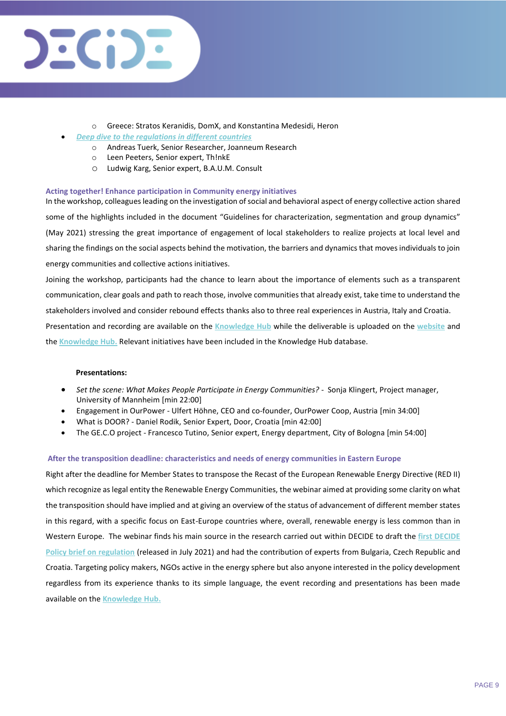

- o Greece: Stratos Keranidis, DomX, and Konstantina Medesidi, Heron
- *[Deep dive to the regulations in different countries](https://knowledge4energy.eu/multimedia-page?t=Deep%20dive%20to%20the%20regulations%20in%20different%20countries)*
	- o Andreas Tuerk, Senior Researcher, Joanneum Research
	- o Leen Peeters, Senior expert, Th!nkE
	- o Ludwig Karg, Senior expert, B.A.U.M. Consult

#### **Acting together! Enhance participation in Community energy initiatives**

In the workshop, colleagues leading on the investigation of social and behavioral aspect of energy collective action shared some of the highlights included in the document "Guidelines for characterization, segmentation and group dynamics" (May 2021) stressing the great importance of engagement of local stakeholders to realize projects at local level and sharing the findings on the social aspects behind the motivation, the barriers and dynamics that moves individuals to join energy communities and collective actions initiatives.

Joining the workshop, participants had the chance to learn about the importance of elements such as a transparent communication, clear goals and path to reach those, involve communities that already exist, take time to understand the stakeholders involved and consider rebound effects thanks also to three real experiences in Austria, Italy and Croatia. Presentation and recording are available on the **[Knowledge Hub](https://knowledge4energy.eu/multimedia-page?t=EU%20Green%20Week%20Workshop:%20%27Acting%20together!%20Enhance%20participation%20in%20Community%20energy%20initiatives%27)** while the deliverable is uploaded on the **[website](https://decide4energy.eu/resource?uid=1010)** and the **[Knowledge Hub.](https://knowledge4energy.eu/resource?t=Guidelines%20to%20optimize%20energy-efficiency%20information%20campaigns%20and%20citizen%20participation%20for%20collective%20action%20and%20energy%20communities%20with%20practical%20views%20and%20methods,%20based%20on%20first%20year%20research)** Relevant initiatives have been included in the Knowledge Hub database.

#### **Presentations:**

- *Set the scene: What Makes People Participate in Energy Communities?* Sonja Klingert, Project manager, University of Mannheim [min 22:00]
- Engagement in OurPower Ulfert Höhne, CEO and co-founder, OurPower Coop, Austria [min 34:00]
- What is DOOR? Daniel Rodik, Senior Expert, Door, Croatia [min 42:00]
- The GE.C.O project Francesco Tutino, Senior expert, Energy department, City of Bologna [min 54:00]

#### **After the transposition deadline: characteristics and needs of energy communities in Eastern Europe**

Right after the deadline for Member States to transpose the Recast of the European Renewable Energy Directive (RED II) which recognize as legal entity the Renewable Energy Communities, the webinar aimed at providing some clarity on what the transposition should have implied and at giving an overview of the status of advancement of different member states in this regard, with a specific focus on East-Europe countries where, overall, renewable energy is less common than in Western Europe. The webinar finds his main source in the research carried out within DECIDE to draft the **[first DECIDE](https://decide4energy.eu/resource?uid=1031)  [Policy brief on regulation](https://decide4energy.eu/resource?uid=1031)** (released in July 2021) and had the contribution of experts from Bulgaria, Czech Republic and Croatia. Targeting policy makers, NGOs active in the energy sphere but also anyone interested in the policy development regardless from its experience thanks to its simple language, the event recording and presentations has been made available on the **[Knowledge Hub.](https://knowledge4energy.eu/multimedia-page?t=After%20the%20transposition%20deadline:%20characteristics%20and%20needs%20of%20energy%20communities%20in%20Eastern%20Europe)**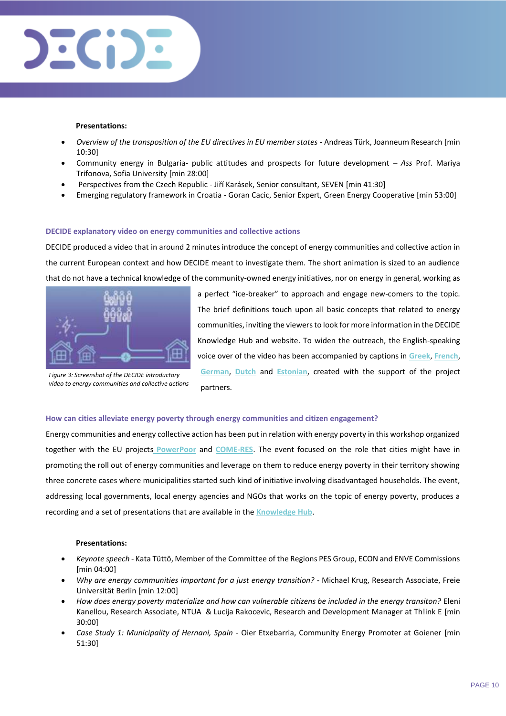

#### **Presentations:**

- *Overview of the transposition of the EU directives in EU member states -* Andreas Türk, Joanneum Research [min 10:30]
- Community energy in Bulgaria- public attitudes and prospects for future development *– Ass* Prof. Mariya Trifonova, Sofia University [min 28:00]
- Perspectives from the Czech Republic *-* Jiří Karásek, Senior consultant, SEVEN [min 41:30]
- Emerging regulatory framework in Croatia *-* Goran Cacic, Senior Expert, Green Energy Cooperative [min 53:00]

#### **DECIDE explanatory video on energy communities and collective actions**

DECIDE produced a video that in around 2 minutes introduce the concept of energy communities and collective action in the current European context and how DECIDE meant to investigate them. The short animation is sized to an audience that do not have a technical knowledge of the community-owned energy initiatives, nor on energy in general, working as



*Figure 3: Screenshot of the DECIDE introductory video to energy communities and collective actions* 

a perfect "ice-breaker" to approach and engage new-comers to the topic. The brief definitions touch upon all basic concepts that related to energy communities, inviting the viewers to look for more information in the DECIDE Knowledge Hub and website. To widen the outreach, the English-speaking voice over of the video has been accompanied by captions in **[Greek](https://knowledge4energy.eu/multimedia-page?t=DECIDE%20-%20%CE%91%CE%BD%CE%AC%CF%80%CF%84%CF%85%CE%BE%CE%B7%20%CE%95%CE%BD%CE%B5%CF%81%CE%B3%CE%B5%CE%B9%CE%B1%CE%BA%CF%8E%CE%BD%20%CE%9A%CE%BF%CE%B9%CE%BD%CE%BF%CF%84%CE%AE%CF%84%CF%89%CE%BD%20%CE%BC%CE%AD%CF%83%CF%89%20%CE%B5%CE%BD%CE%B7%CE%BC%CE%B5%CF%81%CF%89%CF%84%CE%B9%CE%BA%CF%8E%CE%BD%20%CE%BA%CE%B1%CE%B9%20%CF%83%CF%85%CE%BD%CE%B5%CF%81%CE%B3%CE%B1%CF%84%CE%B9%CE%BA%CF%8E%CE%BD%20%CE%B5%CE%BD%CE%B5%CF%81%CE%B3%CE%B5%CE%B9%CF%8E%CE%BD)**, **[French](https://knowledge4energy.eu/multimedia-page?t=DECIDE%20-%20D%C3%89velopperdes%20Communaut%C3%A9s%20%C3%A9n%C3%A9rg%C3%A9tIques%20%C3%A0travers%20DEs%20actions%20infoRmativeset%20collectives)**, **[German](https://knowledge4energy.eu/multimedia-page?t=DECIDE%20-%20Die%20Entwicklung%20von%20Energiegemeinschaften%20durch%20informative%20und%20kollektive%20Handlungen)**, **[Dutch](https://knowledge4energy.eu/multimedia-page?t=DECIDE%20-%20Developing%20Energy%20Communities%20through%20Informative%20anD%20collEctive%20actions)** and **[Estonian](https://knowledge4energy.eu/multimedia-page?t=DECIDE%20-%20Energiakogukondade%20arendamine%20informatiivseteja%20kollektiivsete%20tegevustega)**, created with the support of the project partners.

#### **How can cities alleviate energy poverty through energy communities and citizen engagement?**

Energy communities and energy collective action has been put in relation with energy poverty in this workshop organized together with the EU projects **[PowerPoor](https://powerpoor.eu/)** and **[COME-RES](https://come-res.eu/)**. The event focused on the role that cities might have in promoting the roll out of energy communities and leverage on them to reduce energy poverty in their territory showing three concrete cases where municipalities started such kind of initiative involving disadvantaged households. The event, addressing local governments, local energy agencies and NGOs that works on the topic of energy poverty, produces a recording and a set of presentations that are available in the **[Knowledge Hub](https://knowledge4energy.eu/multimedia-page?t=How%20can%20cities%20alleviate%20energy%20poverty%20through%20energy%20communities%20&%20citizen%20engagement?)**.

#### **Presentations:**

- *Keynote speech* Kata Tüttö, Member of the Committee of the Regions PES Group, ECON and ENVE Commissions [min 04:00]
- *Why are energy communities important for a just energy transition? -* Michael Krug, Research Associate, Freie Universität Berlin [min 12:00]
- *How does energy poverty materialize and how can vulnerable citizens be included in the energy transiton?* Eleni Kanellou, Research Associate, NTUA & Lucija Rakocevic, Research and Development Manager at Th!ink E [min 30:00]
- *Case Study 1: Municipality of Hernani, Spain* Oier Etxebarria, Community Energy Promoter at Goiener [min 51:30]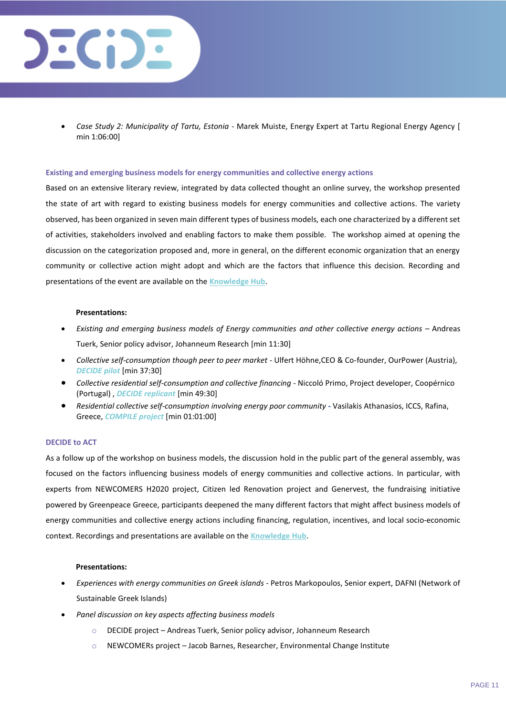

• *Case Study 2: Municipality of Tartu, Estonia* - Marek Muiste, Energy Expert at Tartu Regional Energy Agency [ min 1:06:00]

#### **Existing and emerging business models for energy communities and collective energy actions**

Based on an extensive literary review, integrated by data collected thought an online survey, the workshop presented the state of art with regard to existing business models for energy communities and collective actions. The variety observed, has been organized in seven main different types of business models, each one characterized by a different set of activities, stakeholders involved and enabling factors to make them possible. The workshop aimed at opening the discussion on the categorization proposed and, more in general, on the different economic organization that an energy community or collective action might adopt and which are the factors that influence this decision. Recording and presentations of the event are available on the **[Knowledge Hub](https://knowledge4energy.eu/multimedia-page?t=DECIDE%20at%20#EUSEW2021%20-%20Main%20plenary%20room%20&%20Breakout%20room%202)**.

#### **Presentations:**

- *Existing and emerging business models of Energy communities and other collective energy actions –* Andreas Tuerk, Senior policy advisor, Johanneum Research [min 11:30]
- *Collective self-consumption though peer to peer market* Ulfert Höhne,CEO & Co-founder, OurPower (Austria), *DECIDE pilot* [min 37:30]
- *Collective residential self-consumption and collective financing* Niccoló Primo, Project developer, Coopérnico (Portugal) , *DECIDE replicant* [min 49:30]
- *Residential collective self-consumption involving energy poor community* **-** Vasilakis Athanasios, ICCS, Rafina, Greece, *COMPILE project* [min 01:01:00]

#### **DECIDE to ACT**

As a follow up of the workshop on business models, the discussion hold in the public part of the general assembly, was focused on the factors influencing business models of energy communities and collective actions. In particular, with experts from NEWCOMERS H2020 project, Citizen led Renovation project and Genervest, the fundraising initiative powered by Greenpeace Greece, participants deepened the many different factors that might affect business models of energy communities and collective energy actions including financing, regulation, incentives, and local socio-economic context. Recordings and presentations are available on the **[Knowledge Hub](https://knowledge4energy.eu/multimedia-page?t=Let%E2%80%99s%20talk%20about%20regulatory%20barriers)**.

#### **Presentations:**

- *Experiences with energy communities on Greek islands* Petros Markopoulos, Senior expert, DAFNI (Network of Sustainable Greek Islands)
- *Panel discussion on key aspects affecting business models*
	- o DECIDE project Andreas Tuerk, Senior policy advisor, Johanneum Research
	- o NEWCOMERs project Jacob Barnes, Researcher, Environmental Change Institute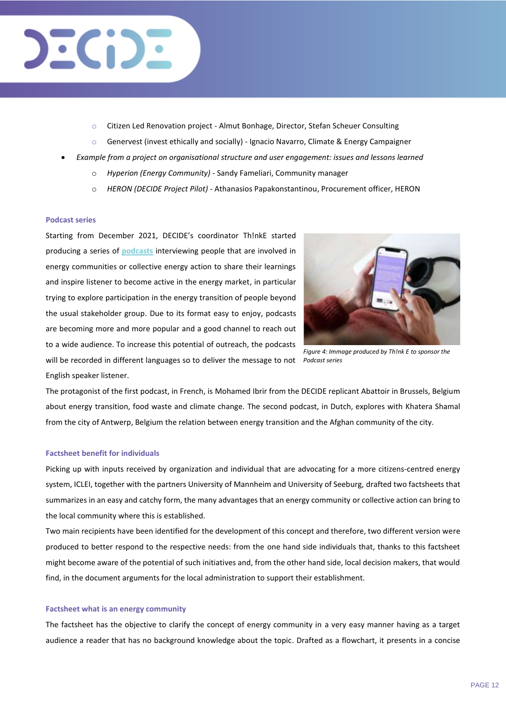## $E(D)$

- Citizen Led Renovation project Almut Bonhage, Director, Stefan Scheuer Consulting
- $\circ$  Genervest (invest ethically and socially) Ignacio Navarro, Climate & Energy Campaigner
- *Example from a project on organisational structure and user engagement: issues and lessons learned*
	- o *Hyperion (Energy Community)*  Sandy Fameliari, Community manager
	- o *[HERON](https://www.heron.gr/en/news/) (DECIDE Project Pilot)*  Athanasios Papakonstantinou, Procurement officer, HERON

#### **Podcast series**

Starting from December 2021, DECIDE's coordinator Th!nkE started producing a series of **[podcasts](https://www.energyrevolution.online/)** interviewing people that are involved in energy communities or collective energy action to share their learnings and inspire listener to become active in the energy market, in particular trying to explore participation in the energy transition of people beyond the usual stakeholder group. Due to its format easy to enjoy, podcasts are becoming more and more popular and a good channel to reach out to a wide audience. To increase this potential of outreach, the podcasts will be recorded in different languages so to deliver the message to not



*Figure 4: Immage produced by Th!nk E to sponsor the Podcast series*

English speaker listener.

The protagonist of the first podcast, in French, is Mohamed Ibrir from the DECIDE replicant Abattoir in Brussels, Belgium about energy transition, food waste and climate change. The second podcast, in Dutch, explores with Khatera Shamal from the city of Antwerp, Belgium the relation between energy transition and the Afghan community of the city.

#### **Factsheet benefit for individuals**

Picking up with inputs received by organization and individual that are advocating for a more citizens-centred energy system, ICLEI, together with the partners University of Mannheim and University of Seeburg, drafted two factsheets that summarizes in an easy and catchy form, the many advantages that an energy community or collective action can bring to the local community where this is established.

Two main recipients have been identified for the development of this concept and therefore, two different version were produced to better respond to the respective needs: from the one hand side individuals that, thanks to this factsheet might become aware of the potential of such initiatives and, from the other hand side, local decision makers, that would find, in the document arguments for the local administration to support their establishment.

#### **Factsheet what is an energy community**

The factsheet has the objective to clarify the concept of energy community in a very easy manner having as a target audience a reader that has no background knowledge about the topic. Drafted as a flowchart, it presents in a concise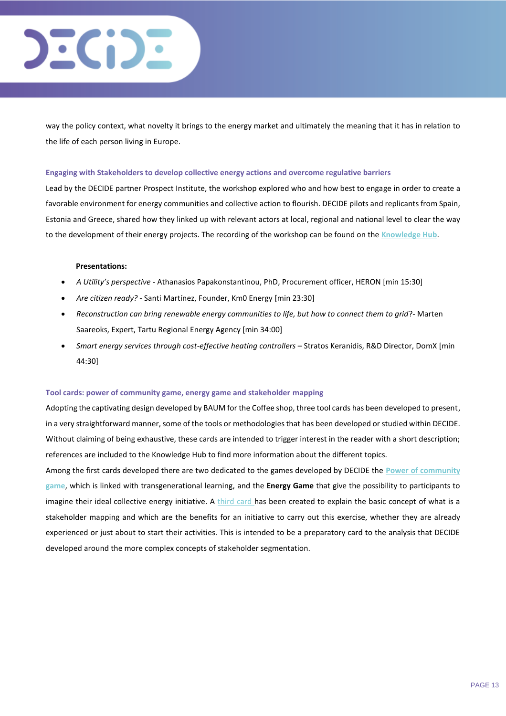# $EC$ i $D$   $E$

way the policy context, what novelty it brings to the energy market and ultimately the meaning that it has in relation to the life of each person living in Europe.

#### **Engaging with Stakeholders to develop collective energy actions and overcome regulative barriers**

Lead by the DECIDE partner Prospect Institute, the workshop explored who and how best to engage in order to create a favorable environment for energy communities and collective action to flourish. DECIDE pilots and replicants from Spain, Estonia and Greece, shared how they linked up with relevant actors at local, regional and national level to clear the way to the development of their energy projects. The recording of the workshop can be found on the **[Knowledge Hub](https://knowledge4energy.eu/multimedia-page?t=Engaging%20with%20Stakeholders%20to%20develop%20collective%20energy%20actions%20and%20overcome%20regulative%20barriers)**.

#### **Presentations:**

- *A Utility's perspective -* Athanasios Papakonstantinou, PhD, Procurement officer, HERON [min 15:30]
- *Are citizen ready?*  Santi Martínez, Founder, Km0 Energy [min 23:30]
- *Reconstruction can bring renewable energy communities to life, but how to connect them to grid*?- Marten Saareoks, Expert, Tartu Regional Energy Agency [min 34:00]
- *Smart energy services through cost-effective heating controllers*  Stratos Keranidis, R&D Director, DomX [min 44:30]

#### **Tool cards: power of community game, energy game and stakeholder mapping**

Adopting the captivating design developed by BAUM for the Coffee shop, three tool cards has been developed to present, in a very straightforward manner, some of the tools or methodologies that has been developed or studied within DECIDE. Without claiming of being exhaustive, these cards are intended to trigger interest in the reader with a short description; references are included to the Knowledge Hub to find more information about the different topics.

Among the first cards developed there are two dedicated to the games developed by DECIDE the **[Power of community](https://thepowerofcommunity.space/)  [game](https://thepowerofcommunity.space/)**, which is linked with transgenerational learning, and the **[Energy Game](https://decide4energy.eu/energy-game)** that give the possibility to participants to imagine their ideal collective energy initiative. A [third card h](https://knowledge4energy.eu/resource?t=Guidelines%20for%20characterization,%20segmentation,%20and%20group%20dynamics%20of%20collective%20energy%20actions)as been created to explain the basic concept of what is a stakeholder mapping and which are the benefits for an initiative to carry out this exercise, whether they are already experienced or just about to start their activities. This is intended to be a preparatory card to the analysis that DECIDE developed around the more complex concepts of stakeholder segmentation.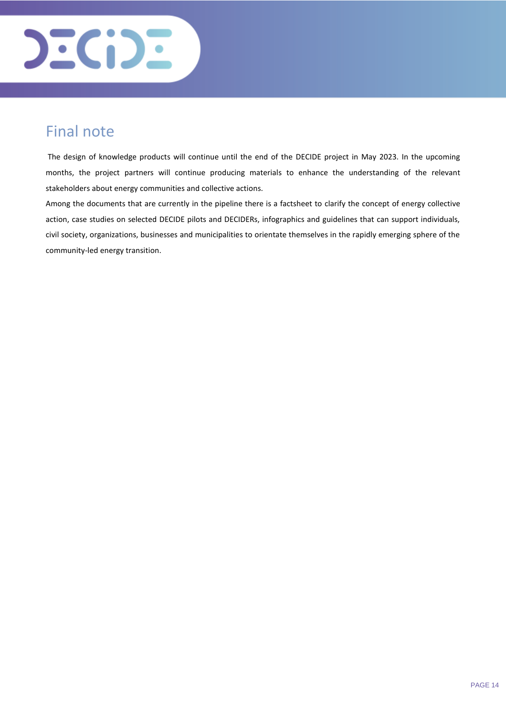

## <span id="page-13-0"></span>Final note

The design of knowledge products will continue until the end of the DECIDE project in May 2023. In the upcoming months, the project partners will continue producing materials to enhance the understanding of the relevant stakeholders about energy communities and collective actions.

Among the documents that are currently in the pipeline there is a factsheet to clarify the concept of energy collective action, case studies on selected DECIDE pilots and DECIDERs, infographics and guidelines that can support individuals, civil society, organizations, businesses and municipalities to orientate themselves in the rapidly emerging sphere of the community-led energy transition.